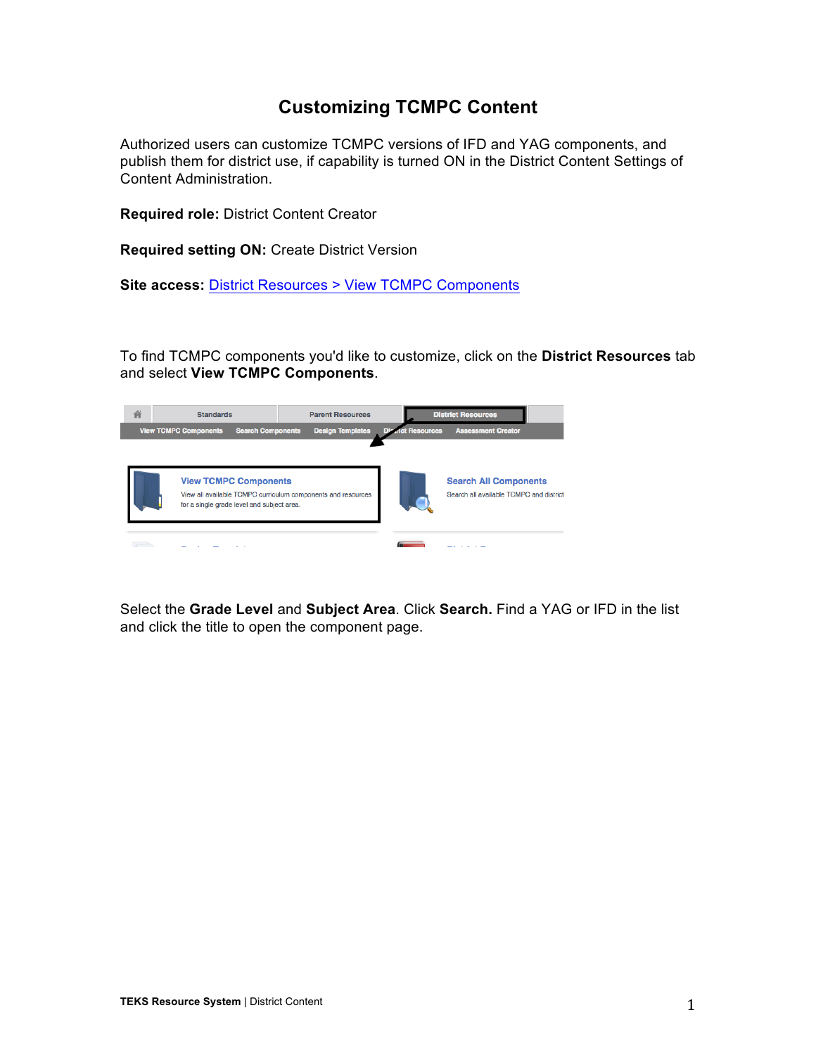## **Customizing TCMPC Content**

Authorized users can customize TCMPC versions of IFD and YAG components, and publish them for district use, if capability is turned ON in the District Content Settings of Content Administration.

**Required role:** District Content Creator

**Required setting ON:** Create District Version

**Site access:** District Resources > View TCMPC Components

To find TCMPC components you'd like to customize, click on the **District Resources** tab and select **View TCMPC Components**.



Select the **Grade Level** and **Subject Area**. Click **Search.** Find a YAG or IFD in the list and click the title to open the component page.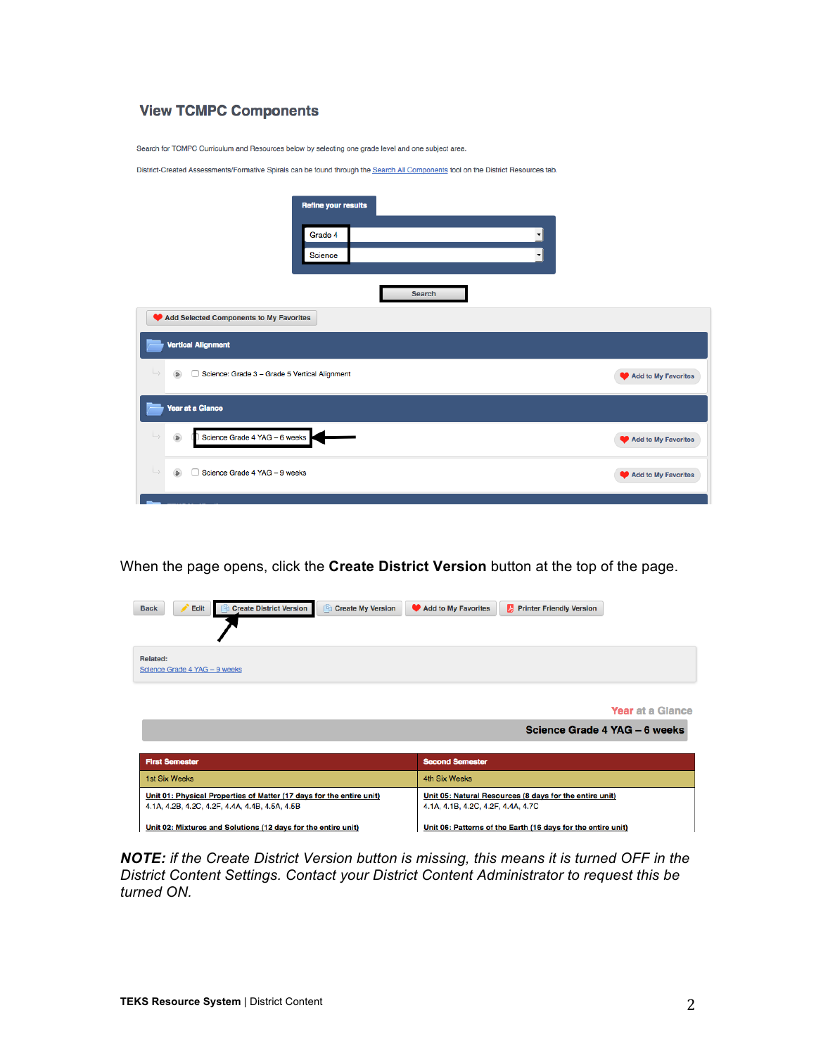## **View TCMPC Components**

Search for TCMPC Curriculum and Resources below by selecting one grade level and one subject area.

District-Created Assessments/Formative Spirals can be found through the Search All Components tool on the District Resources tab.

|                                                                                                        | <b>Refine your results</b> |                          |                     |  |  |
|--------------------------------------------------------------------------------------------------------|----------------------------|--------------------------|---------------------|--|--|
|                                                                                                        | Grade 4                    | $\overline{\phantom{a}}$ |                     |  |  |
|                                                                                                        | Science                    | $\mathbf{r}$             |                     |  |  |
|                                                                                                        |                            | Search                   |                     |  |  |
| Add Selected Components to My Favorites                                                                |                            |                          |                     |  |  |
| <b>Vertical Alignment</b>                                                                              |                            |                          |                     |  |  |
| $\rightarrow$<br>$\Rightarrow$<br>Science: Grade 3 - Grade 5 Vertical Alignment<br>Add to My Favorites |                            |                          |                     |  |  |
| Year at a Glance                                                                                       |                            |                          |                     |  |  |
| $\rightarrow$<br>Science Grade 4 YAG - 6 weeks<br>$\bullet$                                            |                            |                          | Add to My Favorites |  |  |
| $\rightarrow$<br>$\bullet$<br>Science Grade 4 YAG - 9 weeks                                            |                            |                          | Add to My Favorites |  |  |
|                                                                                                        |                            |                          |                     |  |  |

When the page opens, click the **Create District Version** button at the top of the page.

| Edit<br><b>Create District Version</b><br>Create My Version<br><b>Back</b>                                             | Add to My Favorites<br><b>Printer Friendly Version</b>                                        |
|------------------------------------------------------------------------------------------------------------------------|-----------------------------------------------------------------------------------------------|
| Related:<br>Science Grade 4 YAG - 9 weeks                                                                              |                                                                                               |
|                                                                                                                        | <b>Year at a Glance</b><br>Science Grade 4 YAG - 6 weeks                                      |
| <b>First Semester</b>                                                                                                  | <b>Second Semester</b>                                                                        |
| 1st Six Weeks                                                                                                          | 4th Six Weeks                                                                                 |
| Unit 01: Physical Properties of Matter (17 days for the entire unit)<br>4.1A, 4.2B, 4.2C, 4.2F, 4.4A, 4.4B, 4.5A, 4.5B | Unit 05: Natural Resources (8 days for the entire unit)<br>4.1A, 4.1B, 4.2C, 4.2F, 4.4A, 4.7C |
| Unit 02: Mixtures and Solutions (12 days for the entire unit)                                                          | Unit 06: Patterns of the Earth (16 days for the entire unit)                                  |

*NOTE: if the Create District Version button is missing, this means it is turned OFF in the District Content Settings. Contact your District Content Administrator to request this be turned ON.*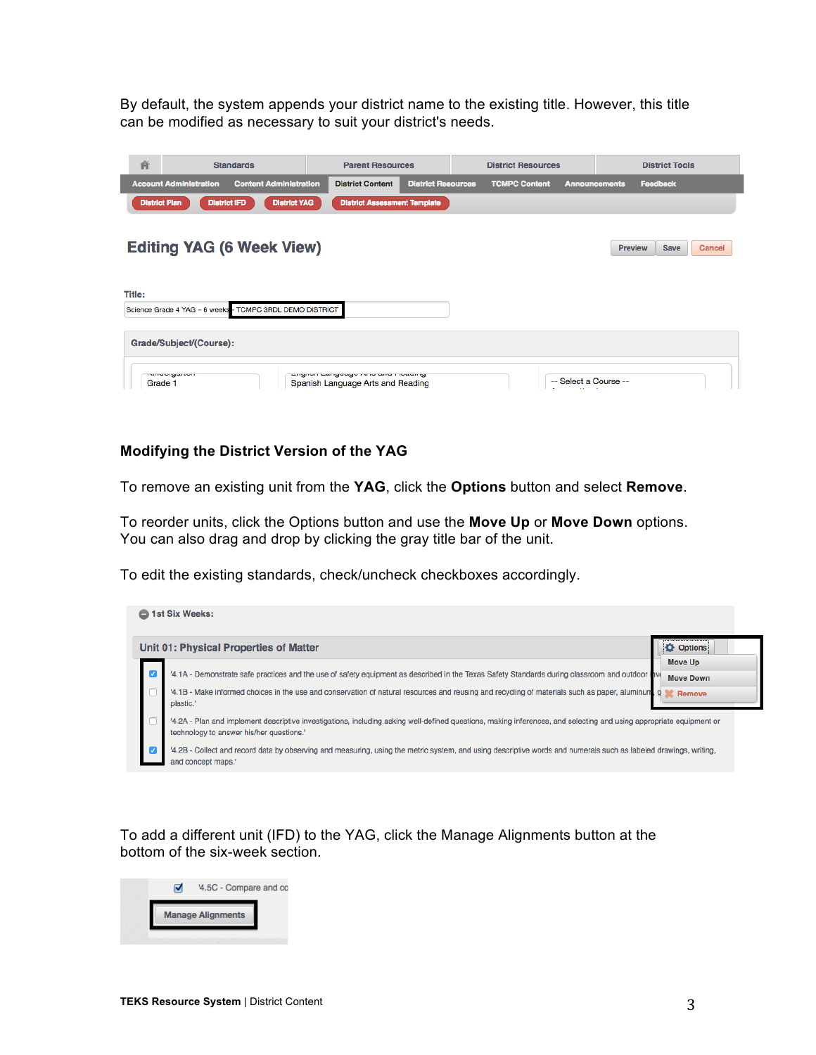By default, the system appends your district name to the existing title. However, this title can be modified as necessary to suit your district's needs.

| 省                                                        | <b>Standards</b>                                                                                          | <b>Parent Resources</b>                                                  |                           | <b>District Resources</b> |                                                  |         | <b>District Tools</b> |        |
|----------------------------------------------------------|-----------------------------------------------------------------------------------------------------------|--------------------------------------------------------------------------|---------------------------|---------------------------|--------------------------------------------------|---------|-----------------------|--------|
|                                                          | <b>Account Administration</b><br><b>Content Administration</b>                                            | <b>District Content</b>                                                  | <b>District Resources</b> | <b>TCMPC Content</b>      | <b>Announcements</b>                             |         | <b>Feedback</b>       |        |
|                                                          | <b>District YAG</b><br><b>District Plan</b><br><b>District IFD</b><br><b>District Assessment Template</b> |                                                                          |                           |                           |                                                  |         |                       |        |
|                                                          |                                                                                                           |                                                                          |                           |                           |                                                  |         |                       |        |
|                                                          | <b>Editing YAG (6 Week View)</b>                                                                          |                                                                          |                           |                           |                                                  | Preview | <b>Save</b>           | Cancel |
|                                                          |                                                                                                           |                                                                          |                           |                           |                                                  |         |                       |        |
|                                                          |                                                                                                           |                                                                          |                           |                           |                                                  |         |                       |        |
| Title:                                                   |                                                                                                           |                                                                          |                           |                           |                                                  |         |                       |        |
| Science Grade 4 YAG - 6 weeks - TCMPC 3RDL DEMO DISTRICT |                                                                                                           |                                                                          |                           |                           |                                                  |         |                       |        |
|                                                          |                                                                                                           |                                                                          |                           |                           |                                                  |         |                       |        |
| Grade/Subject/(Course):                                  |                                                                                                           |                                                                          |                           |                           |                                                  |         |                       |        |
|                                                          |                                                                                                           |                                                                          |                           |                           |                                                  |         |                       |        |
| Grade 1                                                  | <b>TVITWOLYBUTION</b>                                                                                     | English Europaugu mito una muualing<br>Spanish Language Arts and Reading |                           |                           | -- Select a Course --<br><b>SALE OF BUILDING</b> |         |                       |        |

## **Modifying the District Version of the YAG**

To remove an existing unit from the **YAG**, click the **Options** button and select **Remove**.

To reorder units, click the Options button and use the **Move Up** or **Move Down** options. You can also drag and drop by clicking the gray title bar of the unit.

To edit the existing standards, check/uncheck checkboxes accordingly.

| 1st Six Weeks:<br>- |                                                                                                                                                                                                                |                  |  |  |  |
|---------------------|----------------------------------------------------------------------------------------------------------------------------------------------------------------------------------------------------------------|------------------|--|--|--|
|                     | Unit 01: Physical Properties of Matter                                                                                                                                                                         | <b>Options</b>   |  |  |  |
|                     |                                                                                                                                                                                                                | Move Up          |  |  |  |
|                     | 4.1A - Demonstrate safe practices and the use of safety equipment as described in the Texas Safety Standards during classroom and outdoor hy                                                                   | <b>Move Down</b> |  |  |  |
|                     | '4.1B - Make informed choices in the use and conservation of natural resources and reusing and recycling of materials such as paper, aluminum<br>plastic.'                                                     | g<br>Remove      |  |  |  |
|                     | 4.2A - Plan and implement descriptive investigations, including asking well-defined questions, making inferences, and selecting and using appropriate equipment or<br>technology to answer his/her questions.' |                  |  |  |  |
|                     | '4.2B - Collect and record data by observing and measuring, using the metric system, and using descriptive words and numerals such as labeled drawings, writing,<br>and concept maps.'                         |                  |  |  |  |

To add a different unit (IFD) to the YAG, click the Manage Alignments button at the bottom of the six-week section.

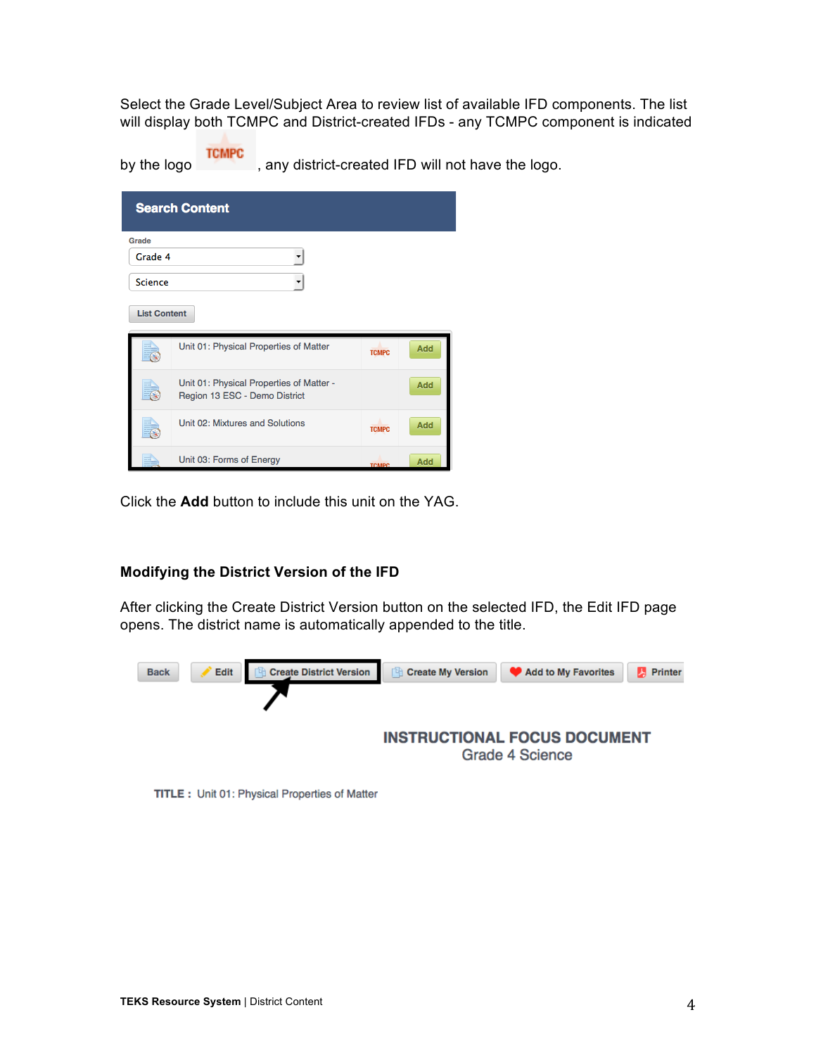Select the Grade Level/Subject Area to review list of available IFD components. The list will display both TCMPC and District-created IFDs - any TCMPC component is indicated

by the logo<br>by the logo , any district-created IFD will not have the logo.

| <b>Search Content</b>    |                                                                           |              |     |  |
|--------------------------|---------------------------------------------------------------------------|--------------|-----|--|
| Grade                    |                                                                           |              |     |  |
| Grade 4                  |                                                                           |              |     |  |
| <b>Science</b>           |                                                                           |              |     |  |
| <b>List Content</b>      |                                                                           |              |     |  |
|                          | Unit 01: Physical Properties of Matter                                    | <b>TCMPC</b> | Add |  |
| $\overline{\mathbf{A}}$  | Unit 01: Physical Properties of Matter -<br>Region 13 ESC - Demo District |              | Add |  |
| $\overline{\mathcal{S}}$ | Unit 02: Mixtures and Solutions                                           | <b>TCMPC</b> | Add |  |
|                          | Unit 03: Forms of Energy                                                  | <b>TCMPC</b> | Add |  |

Click the **Add** button to include this unit on the YAG.

## **Modifying the District Version of the IFD**

After clicking the Create District Version button on the selected IFD, the Edit IFD page opens. The district name is automatically appended to the title.



TITLE: Unit 01: Physical Properties of Matter